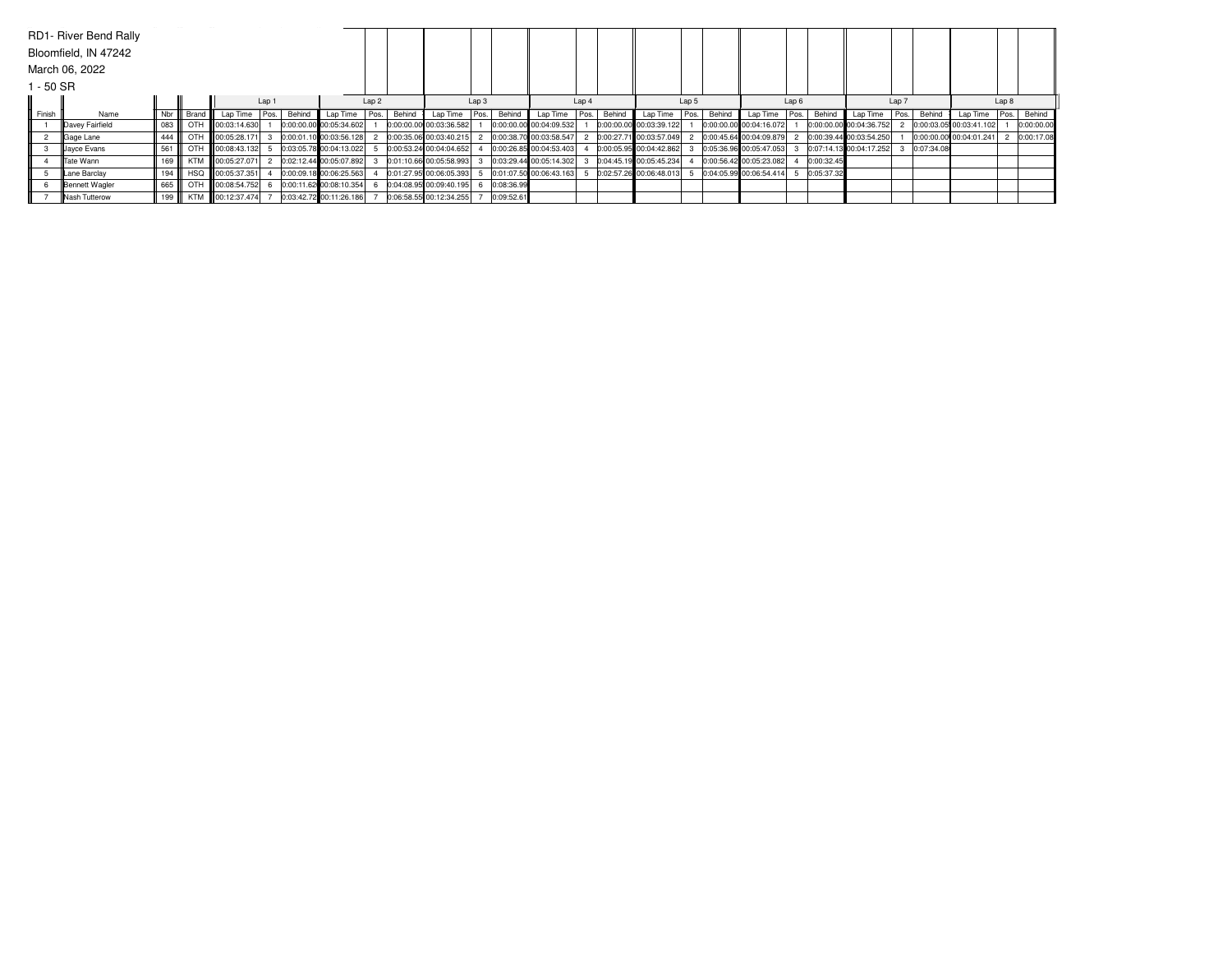|         | RD1- River Bend Rally |     |       |                         |                           |        |                         |      |        |                         |                |            |                         |       |        |                         |  |        |                         |       |            |                         |       |            |                         |      |            |
|---------|-----------------------|-----|-------|-------------------------|---------------------------|--------|-------------------------|------|--------|-------------------------|----------------|------------|-------------------------|-------|--------|-------------------------|--|--------|-------------------------|-------|------------|-------------------------|-------|------------|-------------------------|------|------------|
|         | Bloomfield, IN 47242  |     |       |                         |                           |        |                         |      |        |                         |                |            |                         |       |        |                         |  |        |                         |       |            |                         |       |            |                         |      |            |
|         | March 06, 2022        |     |       |                         |                           |        |                         |      |        |                         |                |            |                         |       |        |                         |  |        |                         |       |            |                         |       |            |                         |      |            |
| - 50 SR |                       |     |       |                         |                           |        |                         |      |        |                         |                |            |                         |       |        |                         |  |        |                         |       |            |                         |       |            |                         |      |            |
|         |                       |     |       |                         | Lap 1<br>Lap <sub>2</sub> |        |                         |      |        | Lap3                    |                | Lap 4      |                         | Lap 5 |        |                         |  | Lap 6  |                         | Lap 7 |            |                         | Lap 8 |            |                         |      |            |
| Finish  | Name                  | Nbr | Brand | Lap Time                | Pos.                      | Behind | Lap Time                | Pos. | Behind | Lap Time                | $\cdot$ I Pos. | Behind     | Lap Time                | Pos.  | Behind | Lap Time   Pos.         |  | Behind | Lap Time                | Pos.  | Behind     | Lap Time                | Pos.  | Behind     | Lap Time                | Pos. | Behind     |
|         | Davey Fairfield       | 083 | OTH   | <b>III</b> 00:03:14.630 |                           |        | 0:00:00.00 00:05:34.602 |      |        | 0:00:00.00 00:03:36.582 |                |            | 0:00:00.00 00:04:09.532 |       |        | 0:00:00.00 00:03:39.122 |  |        | 0:00:00.00 00:04:16.072 |       |            | 0:00:00.00 00:04:36.752 |       |            | 0:00:03.05 00:03:41.102 |      | 0:00:00.00 |
|         | Gage Lane             | 444 |       | OTH 100:05:28.171       |                           |        | 0:00:01.10 00:03:56.128 |      |        | 0:00:35.06 00:03:40.215 |                |            | 0:00:38.70 00:03:58.547 |       |        | 0:00:27.71 00:03:57.049 |  |        | 0:00:45.64 00:04:09.879 |       |            | 0:00:39.44 00:03:54.250 |       |            | 0:00:00.00 00:04:01.241 |      | 0:00:17.08 |
|         | Jayce Evans           | 561 |       | OTH 100:08:43.132 5     |                           |        | 0:03:05.78 00:04:13.022 |      |        | 0:00:53.24 00:04:04.652 |                |            | 0:00:26.85 00:04:53.403 |       |        | 0:00:05.95 00:04:42.862 |  |        | 0:05:36.96 00:05:47.053 |       |            | 0:07:14.13 00:04:17.252 |       | 0:07:34.08 |                         |      |            |
|         | <b>Tate Wann</b>      | 169 |       | KTM 100:05:27.071       |                           |        | 0:02:12.44 00:05:07.892 |      |        | 0:01:10.66 00:05:58.993 |                |            | 0:03:29.44 00:05:14.302 |       |        | 0:04:45.19 00:05:45.234 |  |        | 0:00:56.42 00:05:23.082 |       | 0:00:32.45 |                         |       |            |                         |      |            |
|         | Lane Barclay          | 194 |       | HSQ 00:05:37.351        |                           |        | 0:00:09.18 00:06:25.563 |      |        | 0:01:27.95 00:06:05.393 |                |            | 0:01:07.50 00:06:43.163 |       |        | 0:02:57.26 00:06:48.013 |  |        | 0:04:05.99 00:06:54.414 |       | 0:05:37.32 |                         |       |            |                         |      |            |
|         | Bennett Wagler        | 665 |       | OTH 100:08:54.752       |                           |        | 0:00:11.62 00:08:10.354 |      |        | 0:04:08.95 00:09:40.195 |                | 0:08:36.99 |                         |       |        |                         |  |        |                         |       |            |                         |       |            |                         |      |            |
|         | Nash Tutterow         | 199 |       | KTM 00:12:37.474        |                           |        | 0:03:42.72 00:11:26.186 |      |        | 0:06:58.55 00:12:34.255 |                | 0:09:52.61 |                         |       |        |                         |  |        |                         |       |            |                         |       |            |                         |      |            |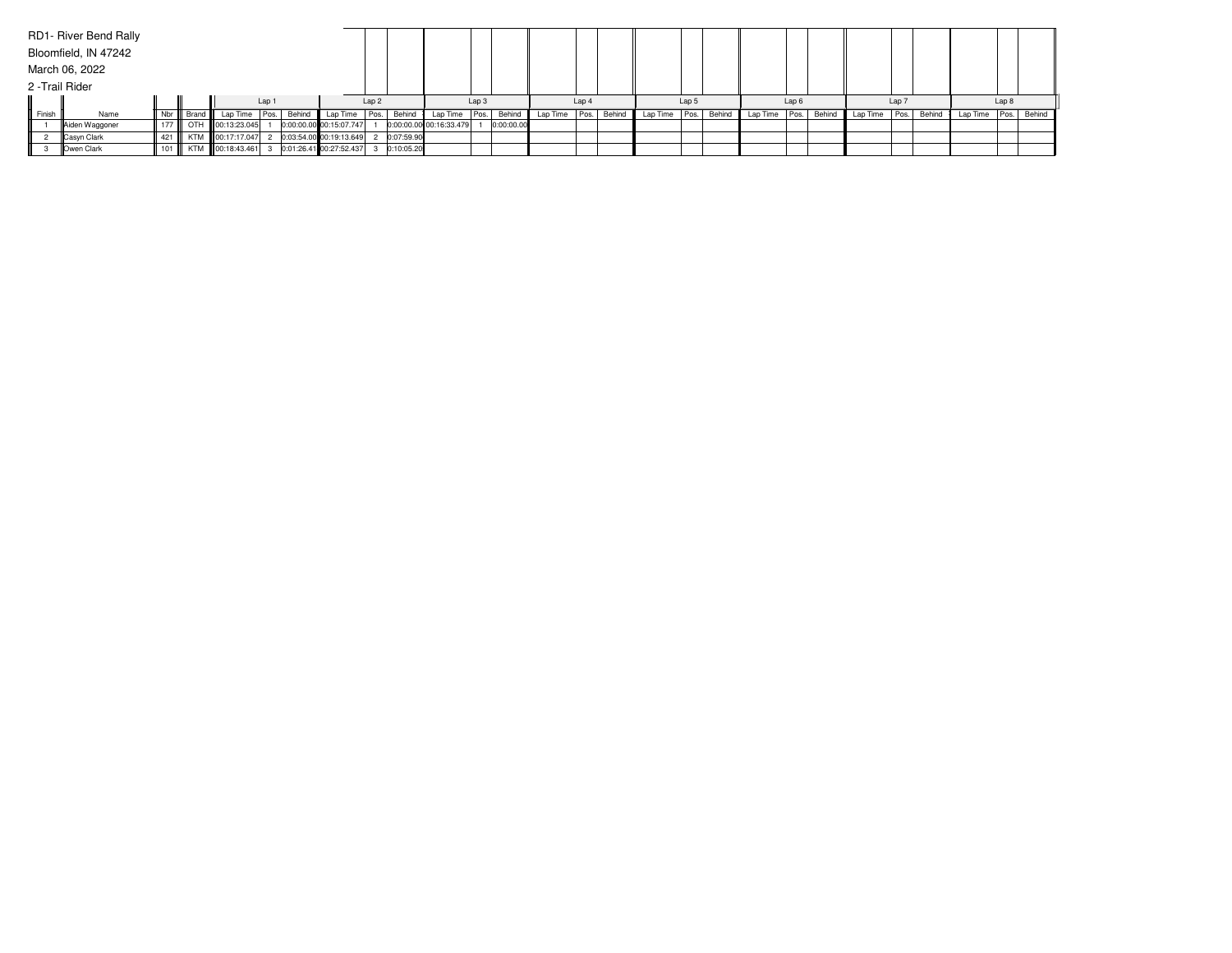|                 | RD1- River Bend Rally |       |           |                   |       |        |                         |                  |            |                         |  |            |               |       |        |          |      |        |                 |                  |        |          |       |        |          |       |        |
|-----------------|-----------------------|-------|-----------|-------------------|-------|--------|-------------------------|------------------|------------|-------------------------|--|------------|---------------|-------|--------|----------|------|--------|-----------------|------------------|--------|----------|-------|--------|----------|-------|--------|
|                 | Bloomfield, IN 47242  |       |           |                   |       |        |                         |                  |            |                         |  |            |               |       |        |          |      |        |                 |                  |        |          |       |        |          |       |        |
|                 | March 06, 2022        |       |           |                   |       |        |                         |                  |            |                         |  |            |               |       |        |          |      |        |                 |                  |        |          |       |        |          |       |        |
| 2 - Trail Rider |                       |       |           |                   |       |        |                         |                  |            |                         |  |            |               |       |        |          |      |        |                 |                  |        |          |       |        |          |       |        |
|                 |                       |       |           |                   | Lap 1 |        |                         | Lap <sub>2</sub> |            | Lap 3                   |  |            |               | Lap 4 |        | Lap 5    |      |        |                 | Lap <sub>6</sub> |        |          | Lap 7 |        |          | Lap 8 |        |
| Finish          | Name                  | Nbr   | Brand III | Lap Time   Pos.   |       | Behind | Lap Time Pos.           |                  | Behind     | Lap Time Pos.           |  | Behind     | Lap Time Pos. |       | Behind | Lap Time | Pos. | Behind | Lap Time   Pos. |                  | Behind | Lap Time | Pos.  | Behind | Lap Time | Pos.  | Behind |
|                 | Aiden Waggoner        | 177   |           | OTH 100:13:23.045 |       |        | 0:00:00.00 00:15:07.747 |                  |            | 0:00:00.00 00:16:33.479 |  | 0:00:00.00 |               |       |        |          |      |        |                 |                  |        |          |       |        |          |       |        |
|                 | Casyn Clark           | 421   |           | KTM 00:17:17.047  |       |        | 0:03:54.00 00:19:13.649 |                  | 0:07:59.90 |                         |  |            |               |       |        |          |      |        |                 |                  |        |          |       |        |          |       |        |
|                 | Owen Clark            | $101$ |           | KTM 00:18:43.461  |       |        | 0:01:26.41 00:27:52.437 |                  | 0:10:05.20 |                         |  |            |               |       |        |          |      |        |                 |                  |        |          |       |        |          |       |        |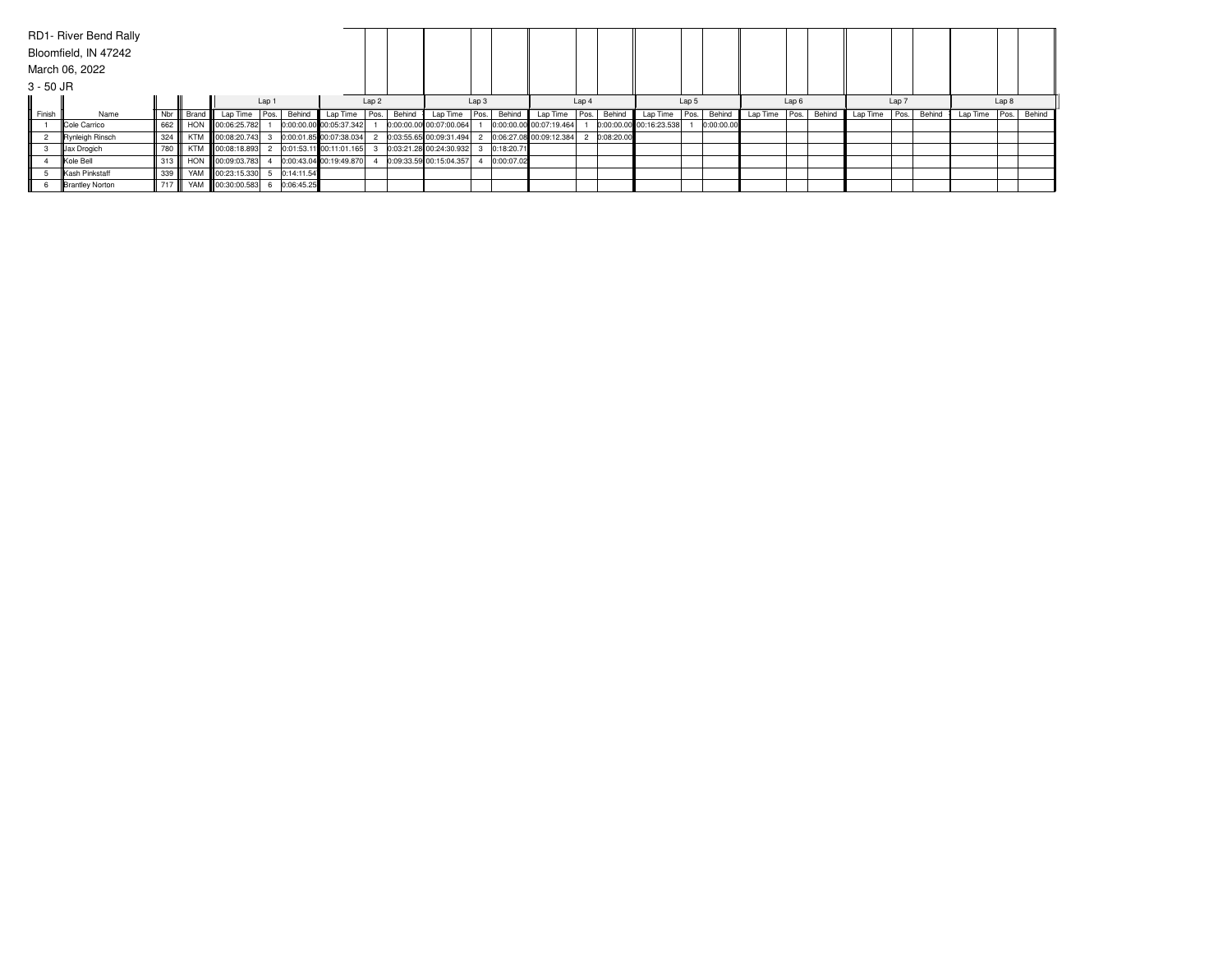|           | RD1- River Bend Rally |       |            |                   |  |            |                         |                  |        |                         |       |            |                         |       |            |                         |       |            |          |                  |        |          |       |        |          |       |        |  |
|-----------|-----------------------|-------|------------|-------------------|--|------------|-------------------------|------------------|--------|-------------------------|-------|------------|-------------------------|-------|------------|-------------------------|-------|------------|----------|------------------|--------|----------|-------|--------|----------|-------|--------|--|
|           | Bloomfield, IN 47242  |       |            |                   |  |            |                         |                  |        |                         |       |            |                         |       |            |                         |       |            |          |                  |        |          |       |        |          |       |        |  |
|           | March 06, 2022        |       |            |                   |  |            |                         |                  |        |                         |       |            |                         |       |            |                         |       |            |          |                  |        |          |       |        |          |       |        |  |
| 3 - 50 JR |                       |       |            |                   |  |            |                         |                  |        |                         |       |            |                         |       |            |                         |       |            |          |                  |        |          |       |        |          |       |        |  |
|           |                       | Lap 1 |            |                   |  |            |                         | Lap <sub>2</sub> |        |                         | Lap 3 |            |                         | Lap 4 |            |                         | Lap 5 |            |          | Lap <sub>6</sub> |        |          | Lap 7 |        |          | Lap 8 |        |  |
| Finish    | Name                  | Nbr   | Brand      | Lap Time   Pos.   |  | Behind     | Lap Time   Pos.         |                  | Behind | Lap Time   Pos.         |       | Behind     | Lap Time Pos.           |       | Behind     | Lap Time                | Pos.  | Behind     | Lap Time | Pos.             | Behind | Lap Time | Pos.  | Behind | Lap Time | Pos.  | Behind |  |
|           | <b>Cole Carrico</b>   | 662   |            | HON 100:06:25.782 |  |            | 0:00:00.00 00:05:37.342 |                  |        | 0:00:00.00 00:07:00.064 |       |            | 0:00:00.00 00:07:19.464 |       |            | 0:00:00.00 00:16:23.538 |       | 0:00:00.00 |          |                  |        |          |       |        |          |       |        |  |
|           | Rynleigh Rinsch       | 324   | <b>KTM</b> | 00:08:20.743      |  |            | 0:00:01.85 00:07:38.034 |                  |        | 0:03:55.65 00:09:31.494 |       |            | 0:06:27.08 00:09:12.384 |       | 0:08:20.00 |                         |       |            |          |                  |        |          |       |        |          |       |        |  |
|           | Jax Drogich           | 1780  | <b>KTM</b> | 00:08:18.893      |  |            | 0:01:53.11 00:11:01.165 |                  |        | 0:03:21.28 00:24:30.932 |       | 0:18:20.71 |                         |       |            |                         |       |            |          |                  |        |          |       |        |          |       |        |  |
|           | Kole Bell             | 313   |            | HON 100:09:03.783 |  |            | 0:00:43.04 00:19:49.870 |                  |        | 0:09:33.59 00:15:04.357 |       | 0:00:07.02 |                         |       |            |                         |       |            |          |                  |        |          |       |        |          |       |        |  |
|           | Kash Pinkstaff        | 339   |            | YAM 00:23:15.330  |  | 0:14:11.54 |                         |                  |        |                         |       |            |                         |       |            |                         |       |            |          |                  |        |          |       |        |          |       |        |  |
|           | Brantley Norton       | 717   |            | YAM 100:30:00.583 |  | 0:06:45.25 |                         |                  |        |                         |       |            |                         |       |            |                         |       |            |          |                  |        |          |       |        |          |       |        |  |